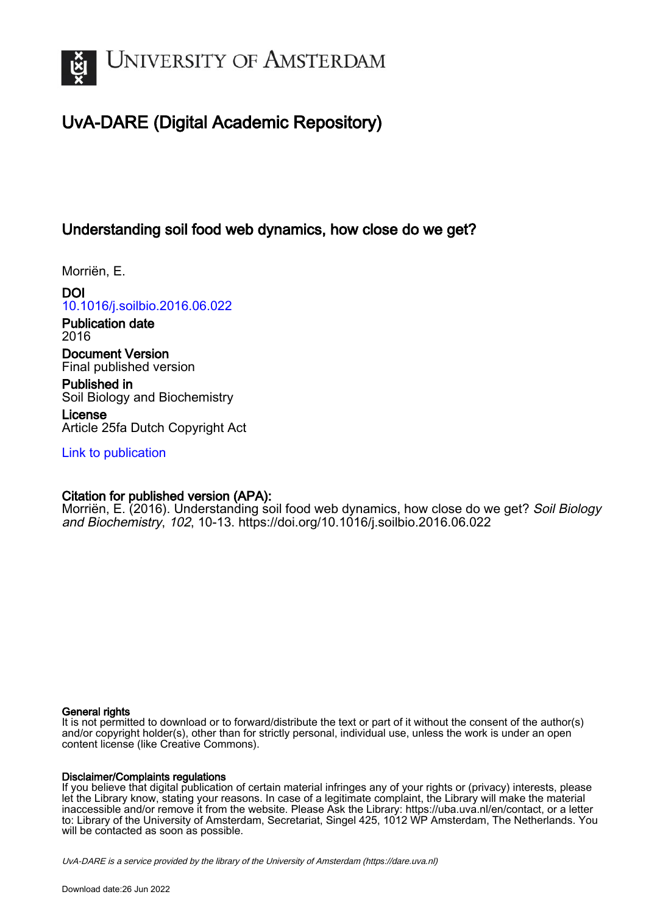

# UvA-DARE (Digital Academic Repository)

# Understanding soil food web dynamics, how close do we get?

Morriën, E.

DOI [10.1016/j.soilbio.2016.06.022](https://doi.org/10.1016/j.soilbio.2016.06.022)

Publication date 2016

Document Version Final published version

Published in Soil Biology and Biochemistry

License Article 25fa Dutch Copyright Act

[Link to publication](https://dare.uva.nl/personal/pure/en/publications/understanding-soil-food-web-dynamics-how-close-do-we-get(4556f2a5-d032-4987-ad84-aaf652873b8a).html)

### Citation for published version (APA):

Morriën, E. (2016). Understanding soil food web dynamics, how close do we get? Soil Biology and Biochemistry, 102, 10-13. <https://doi.org/10.1016/j.soilbio.2016.06.022>

### General rights

It is not permitted to download or to forward/distribute the text or part of it without the consent of the author(s) and/or copyright holder(s), other than for strictly personal, individual use, unless the work is under an open content license (like Creative Commons).

### Disclaimer/Complaints regulations

If you believe that digital publication of certain material infringes any of your rights or (privacy) interests, please let the Library know, stating your reasons. In case of a legitimate complaint, the Library will make the material inaccessible and/or remove it from the website. Please Ask the Library: https://uba.uva.nl/en/contact, or a letter to: Library of the University of Amsterdam, Secretariat, Singel 425, 1012 WP Amsterdam, The Netherlands. You will be contacted as soon as possible.

UvA-DARE is a service provided by the library of the University of Amsterdam (http*s*://dare.uva.nl)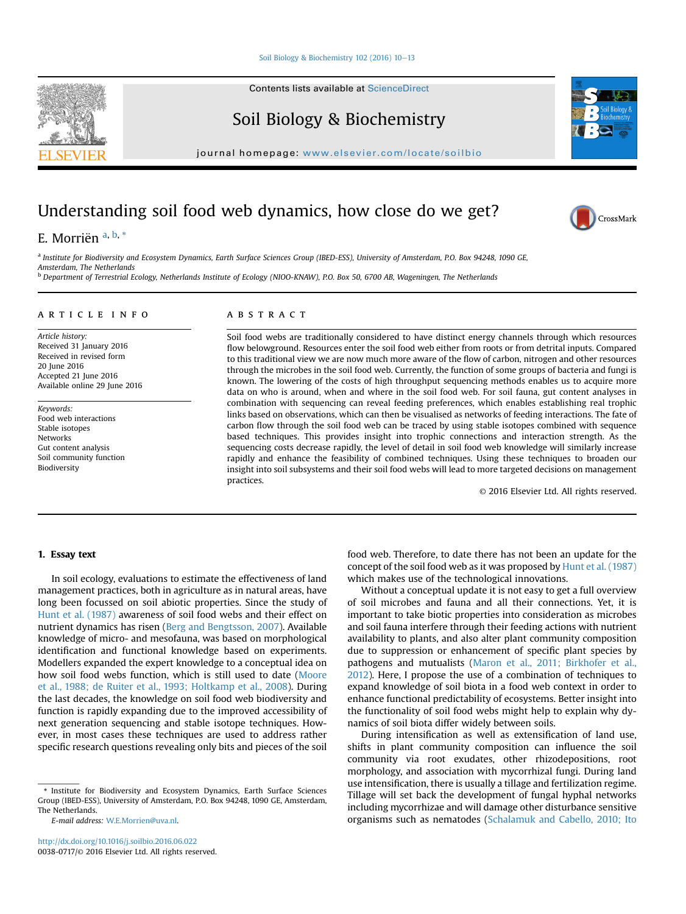#### [Soil Biology & Biochemistry 102 \(2016\) 10](http://dx.doi.org/10.1016/j.soilbio.2016.06.022)-[13](http://dx.doi.org/10.1016/j.soilbio.2016.06.022)

Contents lists available at ScienceDirect

## Soil Biology & Biochemistry

journal homepage: [www.elsevier.com/locate/soilbio](http://www.elsevier.com/locate/soilbio)

# Understanding soil food web dynamics, how close do we get?

## E. Morriën a, b, \*

a Institute for Biodiversity and Ecosystem Dynamics, Earth Surface Sciences Group (IBED-ESS), University of Amsterdam, P.O. Box 94248, 1090 GE, Amsterdam, The Netherlands  $b$  Department of Terrestrial Ecology, Netherlands Institute of Ecology (NIOO-KNAW), P.O. Box 50, 6700 AB, Wageningen, The Netherlands

article info

Article history: Received 31 January 2016 Received in revised form 20 June 2016 Accepted 21 June 2016 Available online 29 June 2016

Keywords: Food web interactions Stable isotopes Networks Gut content analysis Soil community function Biodiversity

### **ABSTRACT**

Soil food webs are traditionally considered to have distinct energy channels through which resources flow belowground. Resources enter the soil food web either from roots or from detrital inputs. Compared to this traditional view we are now much more aware of the flow of carbon, nitrogen and other resources through the microbes in the soil food web. Currently, the function of some groups of bacteria and fungi is known. The lowering of the costs of high throughput sequencing methods enables us to acquire more data on who is around, when and where in the soil food web. For soil fauna, gut content analyses in combination with sequencing can reveal feeding preferences, which enables establishing real trophic links based on observations, which can then be visualised as networks of feeding interactions. The fate of carbon flow through the soil food web can be traced by using stable isotopes combined with sequence based techniques. This provides insight into trophic connections and interaction strength. As the sequencing costs decrease rapidly, the level of detail in soil food web knowledge will similarly increase rapidly and enhance the feasibility of combined techniques. Using these techniques to broaden our insight into soil subsystems and their soil food webs will lead to more targeted decisions on management practices.

© 2016 Elsevier Ltd. All rights reserved.

#### 1. Essay text

In soil ecology, evaluations to estimate the effectiveness of land management practices, both in agriculture as in natural areas, have long been focussed on soil abiotic properties. Since the study of [Hunt et al. \(1987\)](#page-4-0) awareness of soil food webs and their effect on nutrient dynamics has risen [\(Berg and Bengtsson, 2007](#page-4-0)). Available knowledge of micro- and mesofauna, was based on morphological identification and functional knowledge based on experiments. Modellers expanded the expert knowledge to a conceptual idea on how soil food webs function, which is still used to date [\(Moore](#page-4-0) [et al., 1988; de Ruiter et al., 1993; Holtkamp et al., 2008\)](#page-4-0). During the last decades, the knowledge on soil food web biodiversity and function is rapidly expanding due to the improved accessibility of next generation sequencing and stable isotope techniques. However, in most cases these techniques are used to address rather specific research questions revealing only bits and pieces of the soil

\* Institute for Biodiversity and Ecosystem Dynamics, Earth Surface Sciences Group (IBED-ESS), University of Amsterdam, P.O. Box 94248, 1090 GE, Amsterdam, The Netherlands.

E-mail address: [W.E.Morrien@uva.nl.](mailto:W.E.Morrien@uva.nl)

food web. Therefore, to date there has not been an update for the concept of the soil food web as it was proposed by [Hunt et al. \(1987\)](#page-4-0) which makes use of the technological innovations.

Without a conceptual update it is not easy to get a full overview of soil microbes and fauna and all their connections. Yet, it is important to take biotic properties into consideration as microbes and soil fauna interfere through their feeding actions with nutrient availability to plants, and also alter plant community composition due to suppression or enhancement of specific plant species by pathogens and mutualists ([Maron et al., 2011; Birkhofer et al.,](#page-4-0) [2012](#page-4-0)). Here, I propose the use of a combination of techniques to expand knowledge of soil biota in a food web context in order to enhance functional predictability of ecosystems. Better insight into the functionality of soil food webs might help to explain why dynamics of soil biota differ widely between soils.

During intensification as well as extensification of land use, shifts in plant community composition can influence the soil community via root exudates, other rhizodepositions, root morphology, and association with mycorrhizal fungi. During land use intensification, there is usually a tillage and fertilization regime. Tillage will set back the development of fungal hyphal networks including mycorrhizae and will damage other disturbance sensitive organisms such as nematodes ([Schalamuk and Cabello, 2010; Ito](#page-4-0)





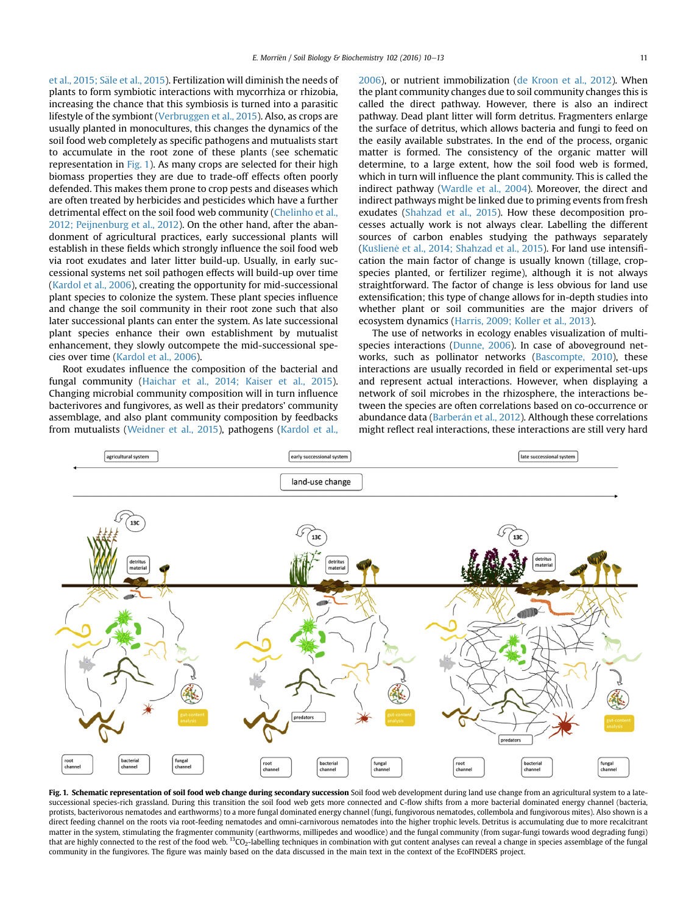<span id="page-2-0"></span>et al., 2015; Säle et al., 2015). Fertilization will diminish the needs of plants to form symbiotic interactions with mycorrhiza or rhizobia, increasing the chance that this symbiosis is turned into a parasitic lifestyle of the symbiont ([Verbruggen et al., 2015](#page-4-0)). Also, as crops are usually planted in monocultures, this changes the dynamics of the soil food web completely as specific pathogens and mutualists start to accumulate in the root zone of these plants (see schematic representation in Fig. 1). As many crops are selected for their high biomass properties they are due to trade-off effects often poorly defended. This makes them prone to crop pests and diseases which are often treated by herbicides and pesticides which have a further detrimental effect on the soil food web community [\(Chelinho et al.,](#page-4-0) [2012; Peijnenburg et al., 2012](#page-4-0)). On the other hand, after the abandonment of agricultural practices, early successional plants will establish in these fields which strongly influence the soil food web via root exudates and later litter build-up. Usually, in early successional systems net soil pathogen effects will build-up over time ([Kardol et al., 2006\)](#page-4-0), creating the opportunity for mid-successional plant species to colonize the system. These plant species influence and change the soil community in their root zone such that also later successional plants can enter the system. As late successional plant species enhance their own establishment by mutualist enhancement, they slowly outcompete the mid-successional species over time [\(Kardol et al., 2006\)](#page-4-0).

Root exudates influence the composition of the bacterial and fungal community ([Haichar et al., 2014; Kaiser et al., 2015\)](#page-4-0). Changing microbial community composition will in turn influence bacterivores and fungivores, as well as their predators' community assemblage, and also plant community composition by feedbacks from mutualists ([Weidner et al., 2015\)](#page-4-0), pathogens ([Kardol et al.,](#page-4-0) [2006\)](#page-4-0), or nutrient immobilization [\(de Kroon et al., 2012](#page-4-0)). When the plant community changes due to soil community changes this is called the direct pathway. However, there is also an indirect pathway. Dead plant litter will form detritus. Fragmenters enlarge the surface of detritus, which allows bacteria and fungi to feed on the easily available substrates. In the end of the process, organic matter is formed. The consistency of the organic matter will determine, to a large extent, how the soil food web is formed, which in turn will influence the plant community. This is called the indirect pathway [\(Wardle et al., 2004\)](#page-4-0). Moreover, the direct and indirect pathways might be linked due to priming events from fresh exudates [\(Shahzad et al., 2015\)](#page-4-0). How these decomposition processes actually work is not always clear. Labelling the different sources of carbon enables studying the pathways separately ([Ku](#page-4-0)šlienė [et al., 2014; Shahzad et al., 2015](#page-4-0)). For land use intensification the main factor of change is usually known (tillage, cropspecies planted, or fertilizer regime), although it is not always straightforward. The factor of change is less obvious for land use extensification; this type of change allows for in-depth studies into whether plant or soil communities are the major drivers of ecosystem dynamics ([Harris, 2009; Koller et al., 2013\)](#page-4-0).

The use of networks in ecology enables visualization of multispecies interactions ([Dunne, 2006\)](#page-4-0). In case of aboveground networks, such as pollinator networks [\(Bascompte, 2010\)](#page-4-0), these interactions are usually recorded in field or experimental set-ups and represent actual interactions. However, when displaying a network of soil microbes in the rhizosphere, the interactions between the species are often correlations based on co-occurrence or abundance data ([Barber](#page-4-0)án et al., 2012). Although these correlations might reflect real interactions, these interactions are still very hard



Fig. 1. Schematic representation of soil food web change during secondary succession Soil food web development during land use change from an agricultural system to a latesuccessional species-rich grassland. During this transition the soil food web gets more connected and C-flow shifts from a more bacterial dominated energy channel (bacteria, protists, bacterivorous nematodes and earthworms) to a more fungal dominated energy channel (fungi, fungivorous nematodes, collembola and fungivorous mites). Also shown is a direct feeding channel on the roots via root-feeding nematodes and omni-carnivorous nematodes into the higher trophic levels. Detritus is accumulating due to more recalcitrant matter in the system, stimulating the fragmenter community (earthworms, millipedes and woodlice) and the fungal community (from sugar-fungi towards wood degrading fungi) that are highly connected to the rest of the food web.  ${}^{13}CO_2$ -labelling techniques in combination with gut content analyses can reveal a change in species assemblage of the fungal community in the fungivores. The figure was mainly based on the data discussed in the main text in the context of the EcoFINDERS project.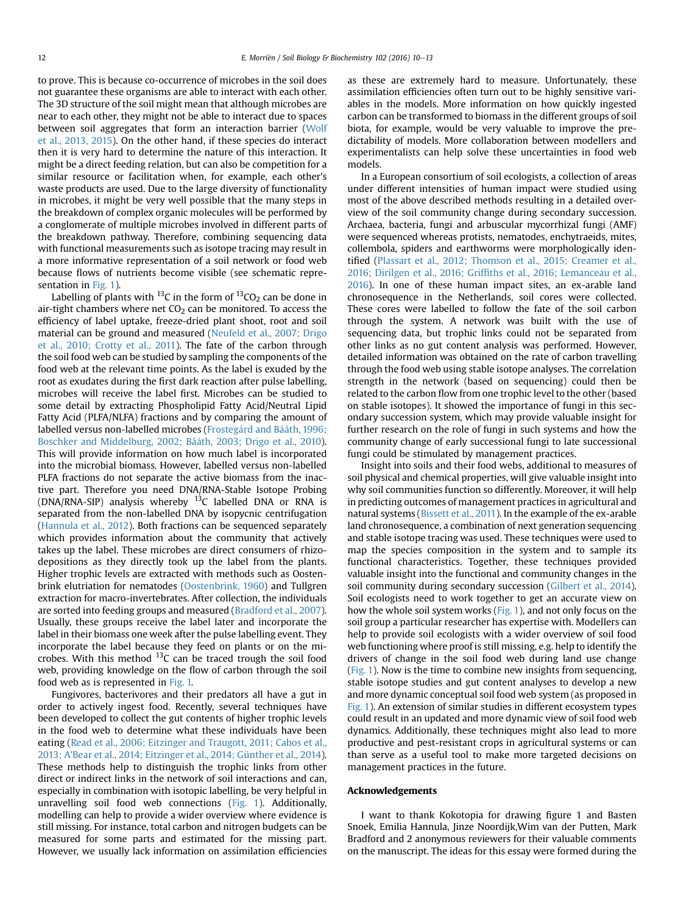to prove. This is because co-occurrence of microbes in the soil does not guarantee these organisms are able to interact with each other. The 3D structure of the soil might mean that although microbes are near to each other, they might not be able to interact due to spaces between soil aggregates that form an interaction barrier ([Wolf](#page-4-0) [et al., 2013, 2015\)](#page-4-0). On the other hand, if these species do interact then it is very hard to determine the nature of this interaction. It might be a direct feeding relation, but can also be competition for a similar resource or facilitation when, for example, each other's waste products are used. Due to the large diversity of functionality in microbes, it might be very well possible that the many steps in the breakdown of complex organic molecules will be performed by a conglomerate of multiple microbes involved in different parts of the breakdown pathway. Therefore, combining sequencing data with functional measurements such as isotope tracing may result in a more informative representation of a soil network or food web because flows of nutrients become visible (see schematic representation in [Fig. 1](#page-2-0)).

Labelling of plants with  $^{13}$ C in the form of  $^{13}$ CO<sub>2</sub> can be done in air-tight chambers where net  $CO<sub>2</sub>$  can be monitored. To access the efficiency of label uptake, freeze-dried plant shoot, root and soil material can be ground and measured ([Neufeld et al., 2007; Drigo](#page-4-0) [et al., 2010; Crotty et al., 2011\)](#page-4-0). The fate of the carbon through the soil food web can be studied by sampling the components of the food web at the relevant time points. As the label is exuded by the root as exudates during the first dark reaction after pulse labelling, microbes will receive the label first. Microbes can be studied to some detail by extracting Phospholipid Fatty Acid/Neutral Lipid Fatty Acid (PLFA/NLFA) fractions and by comparing the amount of labelled versus non-labelled microbes [\(Frostegård and Bååth, 1996;](#page-4-0) [Boschker and Middelburg, 2002; Bååth, 2003; Drigo et al., 2010\)](#page-4-0). This will provide information on how much label is incorporated into the microbial biomass. However, labelled versus non-labelled PLFA fractions do not separate the active biomass from the inactive part. Therefore you need DNA/RNA-Stable Isotope Probing (DNA/RNA-SIP) analysis whereby <sup>13</sup>C labelled DNA or RNA is separated from the non-labelled DNA by isopycnic centrifugation ([Hannula et al., 2012\)](#page-4-0). Both fractions can be sequenced separately which provides information about the community that actively takes up the label. These microbes are direct consumers of rhizodepositions as they directly took up the label from the plants. Higher trophic levels are extracted with methods such as Oostenbrink elutriation for nematodes [\(Oostenbrink, 1960](#page-4-0)) and Tullgren extraction for macro-invertebrates. After collection, the individuals are sorted into feeding groups and measured ([Bradford et al., 2007\)](#page-4-0). Usually, these groups receive the label later and incorporate the label in their biomass one week after the pulse labelling event. They incorporate the label because they feed on plants or on the microbes. With this method  $^{13}$ C can be traced trough the soil food web, providing knowledge on the flow of carbon through the soil food web as is represented in [Fig. 1.](#page-2-0)

Fungivores, bacterivores and their predators all have a gut in order to actively ingest food. Recently, several techniques have been developed to collect the gut contents of higher trophic levels in the food web to determine what these individuals have been eating ([Read et al., 2006; Eitzinger and Traugott, 2011; Cabos et al.,](#page-4-0) 2013; A'[Bear et al., 2014; Eitzinger et al., 2014; Günther et al., 2014\)](#page-4-0). These methods help to distinguish the trophic links from other direct or indirect links in the network of soil interactions and can, especially in combination with isotopic labelling, be very helpful in unravelling soil food web connections ([Fig. 1\)](#page-2-0). Additionally, modelling can help to provide a wider overview where evidence is still missing. For instance, total carbon and nitrogen budgets can be measured for some parts and estimated for the missing part. However, we usually lack information on assimilation efficiencies as these are extremely hard to measure. Unfortunately, these assimilation efficiencies often turn out to be highly sensitive variables in the models. More information on how quickly ingested carbon can be transformed to biomass in the different groups of soil biota, for example, would be very valuable to improve the predictability of models. More collaboration between modellers and experimentalists can help solve these uncertainties in food web models.

In a European consortium of soil ecologists, a collection of areas under different intensities of human impact were studied using most of the above described methods resulting in a detailed overview of the soil community change during secondary succession. Archaea, bacteria, fungi and arbuscular mycorrhizal fungi (AMF) were sequenced whereas protists, nematodes, enchytraeids, mites, collembola, spiders and earthworms were morphologically identified ([Plassart et al., 2012; Thomson et al., 2015; Creamer et al.,](#page-4-0) 2016; Dirilgen et al., 2016; Griffi[ths et al., 2016; Lemanceau et al.,](#page-4-0) [2016\)](#page-4-0). In one of these human impact sites, an ex-arable land chronosequence in the Netherlands, soil cores were collected. These cores were labelled to follow the fate of the soil carbon through the system. A network was built with the use of sequencing data, but trophic links could not be separated from other links as no gut content analysis was performed. However, detailed information was obtained on the rate of carbon travelling through the food web using stable isotope analyses. The correlation strength in the network (based on sequencing) could then be related to the carbon flow from one trophic level to the other (based on stable isotopes). It showed the importance of fungi in this secondary succession system, which may provide valuable insight for further research on the role of fungi in such systems and how the community change of early successional fungi to late successional fungi could be stimulated by management practices.

Insight into soils and their food webs, additional to measures of soil physical and chemical properties, will give valuable insight into why soil communities function so differently. Moreover, it will help in predicting outcomes of management practices in agricultural and natural systems [\(Bissett et al., 2011\)](#page-4-0). In the example of the ex-arable land chronosequence, a combination of next generation sequencing and stable isotope tracing was used. These techniques were used to map the species composition in the system and to sample its functional characteristics. Together, these techniques provided valuable insight into the functional and community changes in the soil community during secondary succession [\(Gilbert et al., 2014\)](#page-4-0). Soil ecologists need to work together to get an accurate view on how the whole soil system works ([Fig. 1\)](#page-2-0), and not only focus on the soil group a particular researcher has expertise with. Modellers can help to provide soil ecologists with a wider overview of soil food web functioning where proof is still missing, e.g. help to identify the drivers of change in the soil food web during land use change ([Fig. 1](#page-2-0)). Now is the time to combine new insights from sequencing, stable isotope studies and gut content analyses to develop a new and more dynamic conceptual soil food web system (as proposed in [Fig. 1](#page-2-0)). An extension of similar studies in different ecosystem types could result in an updated and more dynamic view of soil food web dynamics. Additionally, these techniques might also lead to more productive and pest-resistant crops in agricultural systems or can than serve as a useful tool to make more targeted decisions on management practices in the future.

### Acknowledgements

I want to thank Kokotopia for drawing figure 1 and Basten Snoek, Emilia Hannula, Jinze Noordijk,Wim van der Putten, Mark Bradford and 2 anonymous reviewers for their valuable comments on the manuscript. The ideas for this essay were formed during the